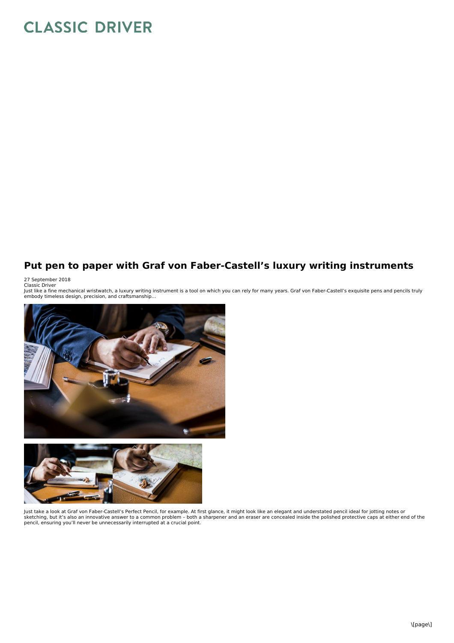## **CLASSIC DRIVER**

## **Put pen to paper with Graf von Faber-Castell's luxury writing instruments**

27 September 2018<br>Classic Driver<br>Just like a fine mechanical wristwatch, a luxury writing instrument is a tool on which you can rely for many years. Graf von Faber-Castell's exquisite pens and pencils truly<br>Just like a fin





Just take a look at Graf von Faber-Castell's Perfect Pencil, for example. At first glance, it might look like an elegant and understated pencil ideal for jotting notes or sketching, but it's also an innovative answer to a common problem - both a sharpener and an eraser are concealed inside the polished protective caps at either end of the<br>pencil, ensuring you'll never be unnecessarily inter